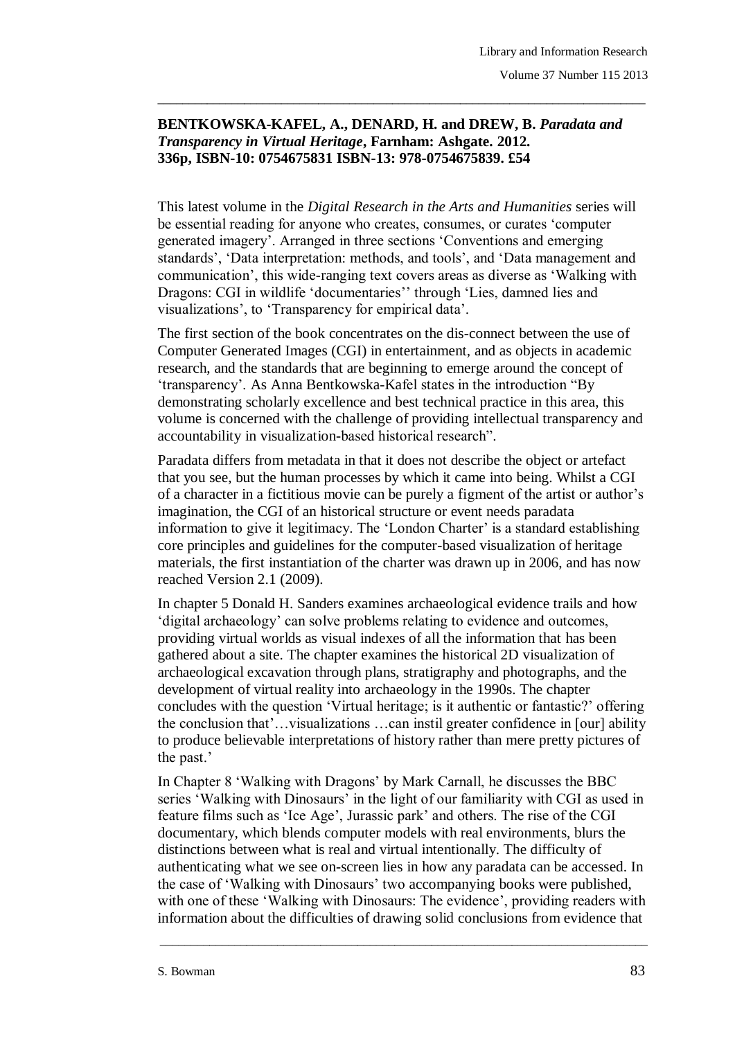## BENTKOWSKA-KAFEL, A., DENARD, H. and DREW, B. Paradata and *Transparency in Virtual Heritage***, Farnham: Ashgate. 2012. 336p, ISBN-10: 0754675831 ISBN-13: 978-0754675839. £54**

\_\_\_\_\_\_\_\_\_\_\_\_\_\_\_\_\_\_\_\_\_\_\_\_\_\_\_\_\_\_\_\_\_\_\_\_\_\_\_\_\_\_\_\_\_\_\_\_\_\_\_\_\_\_\_\_\_\_\_\_\_\_\_\_\_\_\_\_\_\_\_\_\_\_\_\_\_\_\_

This latest volume in the *Digital Research in the Arts and Humanities* series will be essential reading for anyone who creates, consumes, or curates "computer generated imagery". Arranged in three sections "Conventions and emerging standards", "Data interpretation: methods, and tools", and "Data management and communication", this wide-ranging text covers areas as diverse as "Walking with Dragons: CGI in wildlife 'documentaries' through 'Lies, damned lies and visualizations", to "Transparency for empirical data".

The first section of the book concentrates on the dis-connect between the use of Computer Generated Images (CGI) in entertainment, and as objects in academic research, and the standards that are beginning to emerge around the concept of "transparency". As Anna Bentkowska-Kafel states in the introduction "By demonstrating scholarly excellence and best technical practice in this area, this volume is concerned with the challenge of providing intellectual transparency and accountability in visualization-based historical research".

Paradata differs from metadata in that it does not describe the object or artefact that you see, but the human processes by which it came into being. Whilst a CGI of a character in a fictitious movie can be purely a figment of the artist or author"s imagination, the CGI of an historical structure or event needs paradata information to give it legitimacy. The 'London Charter' is a standard establishing core principles and guidelines for the computer-based visualization of heritage materials, the first instantiation of the charter was drawn up in 2006, and has now reached Version 2.1 (2009).

In chapter 5 Donald H. Sanders examines archaeological evidence trails and how "digital archaeology" can solve problems relating to evidence and outcomes, providing virtual worlds as visual indexes of all the information that has been gathered about a site. The chapter examines the historical 2D visualization of archaeological excavation through plans, stratigraphy and photographs, and the development of virtual reality into archaeology in the 1990s. The chapter concludes with the question "Virtual heritage; is it authentic or fantastic?" offering the conclusion that"…visualizations …can instil greater confidence in [our] ability to produce believable interpretations of history rather than mere pretty pictures of the past.'

In Chapter 8 "Walking with Dragons" by Mark Carnall, he discusses the BBC series 'Walking with Dinosaurs' in the light of our familiarity with CGI as used in feature films such as "Ice Age", Jurassic park" and others. The rise of the CGI documentary, which blends computer models with real environments, blurs the distinctions between what is real and virtual intentionally. The difficulty of authenticating what we see on-screen lies in how any paradata can be accessed. In the case of "Walking with Dinosaurs" two accompanying books were published, with one of these 'Walking with Dinosaurs: The evidence', providing readers with information about the difficulties of drawing solid conclusions from evidence that

\_\_\_\_\_\_\_\_\_\_\_\_\_\_\_\_\_\_\_\_\_\_\_\_\_\_\_\_\_\_\_\_\_\_\_\_\_\_\_\_\_\_\_\_\_\_\_\_\_\_\_\_\_\_\_\_\_\_\_\_\_\_\_\_\_\_\_\_\_\_\_\_\_\_\_\_\_\_\_